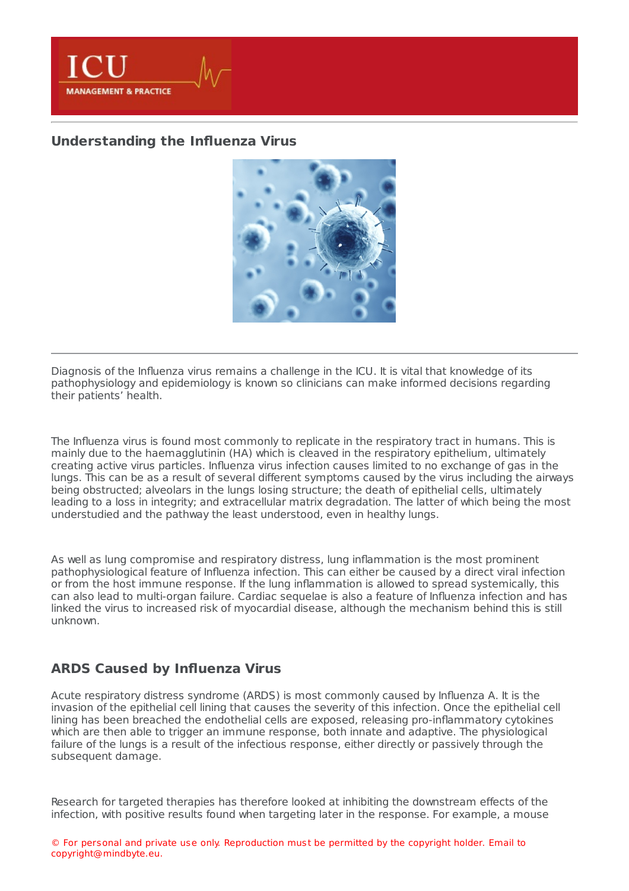

# **[Understanding](https://healthmanagement.org/s/understanding-the-influenza-virus) the Influenza Virus**



Diagnosis of the Influenza virus remains a challenge in the ICU. It is vital that knowledge of its pathophysiology and epidemiology is known so clinicians can make informed decisions regarding their patients' health.

The Influenza virus is found most commonly to replicate in the respiratory tract in humans. This is mainly due to the haemagglutinin (HA) which is cleaved in the respiratory epithelium, ultimately creating active virus particles. Influenza virus infection causes limited to no exchange of gas in the lungs. This can be as a result of several different symptoms caused by the virus including the airways being obstructed; alveolars in the lungs losing structure; the death of epithelial cells, ultimately leading to a loss in integrity; and extracellular matrix degradation. The latter of which being the most understudied and the pathway the least understood, even in healthy lungs.

As well as lung compromise and respiratory distress, lung inflammation is the most prominent pathophysiological feature of Influenza infection. This can either be caused by a direct viral infection or from the host immune response. If the lung inflammation is allowed to spread systemically, this can also lead to multi-organ failure. Cardiac sequelae is also a feature of Influenza infection and has linked the virus to increased risk of myocardial disease, although the mechanism behind this is still unknown.

## **ARDS Caused by Influenza Virus**

Acute respiratory distress syndrome (ARDS) is most commonly caused by Influenza A. It is the invasion of the epithelial cell lining that causes the severity of this infection. Once the epithelial cell lining has been breached the endothelial cells are exposed, releasing pro-inflammatory cytokines which are then able to trigger an immune response, both innate and adaptive. The physiological failure of the lungs is a result of the infectious response, either directly or passively through the subsequent damage.

Research for targeted therapies has therefore looked at inhibiting the downstream effects of the infection, with positive results found when targeting later in the response. For example, a mouse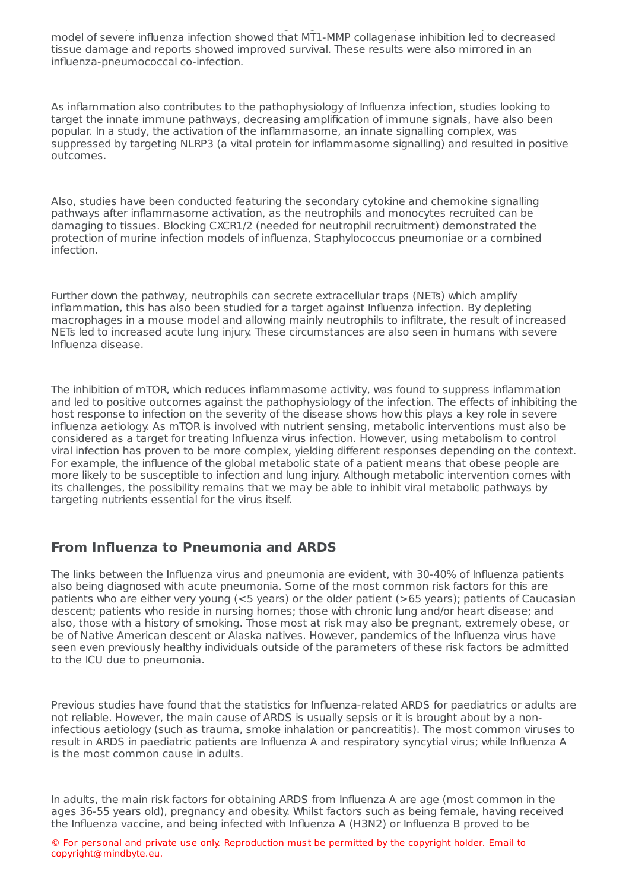infection, with positive results found when targeting later in the response. For example, a mouse model of severe influenza infection showed that MT1-MMP collagenase inhibition led to decreased tissue damage and reports showed improved survival. These results were also mirrored in an influenza-pneumococcal co-infection.

As inflammation also contributes to the pathophysiology of Influenza infection, studies looking to target the innate immune pathways, decreasing amplification of immune signals, have also been popular. In a study, the activation of the inflammasome, an innate signalling complex, was suppressed by targeting NLRP3 (a vital protein for inflammasome signalling) and resulted in positive outcomes.

Also, studies have been conducted featuring the secondary cytokine and chemokine signalling pathways after inflammasome activation, as the neutrophils and monocytes recruited can be damaging to tissues. Blocking CXCR1/2 (needed for neutrophil recruitment) demonstrated the protection of murine infection models of influenza, Staphylococcus pneumoniae or a combined infection.

Further down the pathway, neutrophils can secrete extracellular traps (NETs) which amplify inflammation, this has also been studied for a target against Influenza infection. By depleting macrophages in a mouse model and allowing mainly neutrophils to infiltrate, the result of increased NETs led to increased acute lung injury. These circumstances are also seen in humans with severe Influenza disease.

The inhibition of mTOR, which reduces inflammasome activity, was found to suppress inflammation and led to positive outcomes against the pathophysiology of the infection. The effects of inhibiting the host response to infection on the severity of the disease shows how this plays a key role in severe influenza aetiology. As mTOR is involved with nutrient sensing, metabolic interventions must also be considered as a target for treating Influenza virus infection. However, using metabolism to control viral infection has proven to be more complex, yielding different responses depending on the context. For example, the influence of the global metabolic state of a patient means that obese people are more likely to be susceptible to infection and lung injury. Although metabolic intervention comes with its challenges, the possibility remains that we may be able to inhibit viral metabolic pathways by targeting nutrients essential for the virus itself.

## **From Influenza to Pneumonia and ARDS**

The links between the Influenza virus and pneumonia are evident, with 30-40% of Influenza patients also being diagnosed with acute pneumonia. Some of the most common risk factors for this are patients who are either very young (<5 years) or the older patient (>65 years); patients of Caucasian descent; patients who reside in nursing homes; those with chronic lung and/or heart disease; and also, those with a history of smoking. Those most at risk may also be pregnant, extremely obese, or be of Native American descent or Alaska natives. However, pandemics of the Influenza virus have seen even previously healthy individuals outside of the parameters of these risk factors be admitted to the ICU due to pneumonia.

Previous studies have found that the statistics for Influenza-related ARDS for paediatrics or adults are not reliable. However, the main cause of ARDS is usually sepsis or it is brought about by a noninfectious aetiology (such as trauma, smoke inhalation or pancreatitis). The most common viruses to result in ARDS in paediatric patients are Influenza A and respiratory syncytial virus; while Influenza A is the most common cause in adults.

In adults, the main risk factors for obtaining ARDS from Influenza A are age (most common in the ages 36-55 years old), pregnancy and obesity. Whilst factors such as being female, having received the Influenza vaccine, and being infected with Influenza A (H3N2) or Influenza B proved to be

© For personal and private use only. Reproduction must be permitted by the copyright holder. Email to copyright@mindbyte.eu.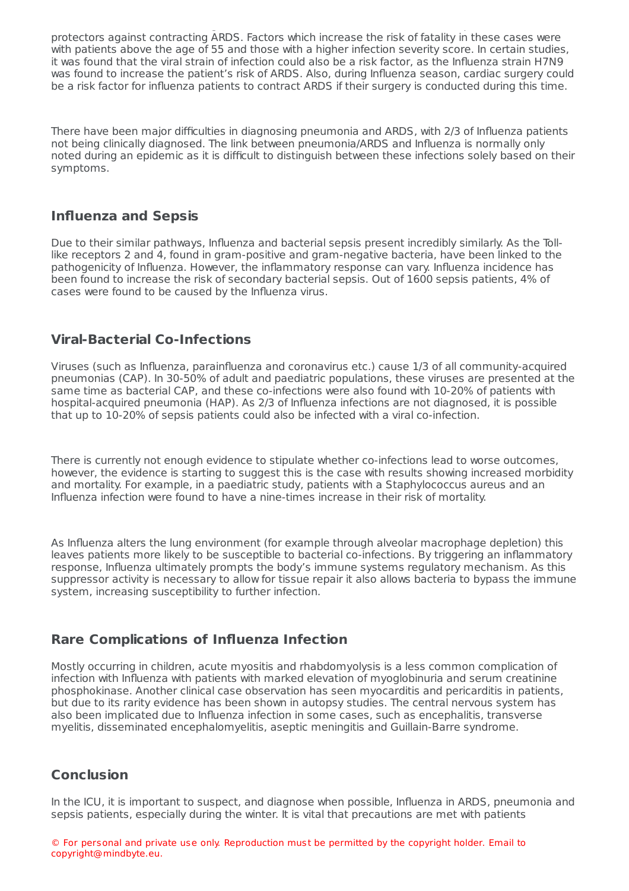protectors against contracting ARDS. Factors which increase the risk of fatality in these cases were with patients above the age of 55 and those with a higher infection severity score. In certain studies, it was found that the viral strain of infection could also be a risk factor, as the Influenza strain H7N9 was found to increase the patient's risk of ARDS. Also, during Influenza season, cardiac surgery could be a risk factor for influenza patients to contract ARDS if their surgery is conducted during this time.

the Influenza vaccine, and being infected with Influenza A (H3N2) or Influenza B proved to be

There have been major difficulties in diagnosing pneumonia and ARDS, with 2/3 of Influenza patients not being clinically diagnosed. The link between pneumonia/ARDS and Influenza is normally only noted during an epidemic as it is difficult to distinguish between these infections solely based on their symptoms.

## **Influenza and Sepsis**

Due to their similar pathways, Influenza and bacterial sepsis present incredibly similarly. As the Tolllike receptors 2 and 4, found in gram-positive and gram-negative bacteria, have been linked to the pathogenicity of Influenza. However, the inflammatory response can vary. Influenza incidence has been found to increase the risk of secondary bacterial sepsis. Out of 1600 sepsis patients, 4% of cases were found to be caused by the Influenza virus.

## **Viral-Bacterial Co-Infections**

Viruses (such as Influenza, parainfluenza and coronavirus etc.) cause 1/3 of all community-acquired pneumonias (CAP). In 30-50% of adult and paediatric populations, these viruses are presented at the same time as bacterial CAP, and these co-infections were also found with 10-20% of patients with hospital-acquired pneumonia (HAP). As 2/3 of Influenza infections are not diagnosed, it is possible that up to 10-20% of sepsis patients could also be infected with a viral co-infection.

There is currently not enough evidence to stipulate whether co-infections lead to worse outcomes, however, the evidence is starting to suggest this is the case with results showing increased morbidity and mortality. For example, in a paediatric study, patients with a Staphylococcus aureus and an Influenza infection were found to have a nine-times increase in their risk of mortality.

As Influenza alters the lung environment (for example through alveolar macrophage depletion) this leaves patients more likely to be susceptible to bacterial co-infections. By triggering an inflammatory response, Influenza ultimately prompts the body's immune systems regulatory mechanism. As this suppressor activity is necessary to allow for tissue repair it also allows bacteria to bypass the immune system, increasing susceptibility to further infection.

## **Rare Complications of Influenza Infection**

Mostly occurring in children, acute myositis and rhabdomyolysis is a less common complication of infection with Influenza with patients with marked elevation of myoglobinuria and serum creatinine phosphokinase. Another clinical case observation has seen myocarditis and pericarditis in patients, but due to its rarity evidence has been shown in autopsy studies. The central nervous system has also been implicated due to Influenza infection in some cases, such as encephalitis, transverse myelitis, disseminated encephalomyelitis, aseptic meningitis and Guillain-Barre syndrome.

## **Conclusion**

In the ICU, it is important to suspect, and diagnose when possible, Influenza in ARDS, pneumonia and sepsis patients, especially during the winter. It is vital that precautions are met with patients

© For personal and private use only. Reproduction must be permitted by the copyright holder. Email to copyright@mindbyte.eu.